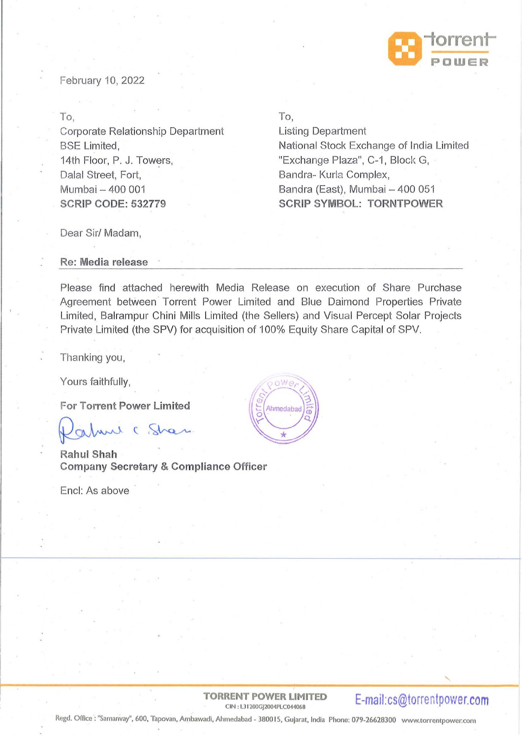

February 10, 2022

To,

Corporate Relationship Department BSE Limited, 14th Floor, P. J. Towers, Dalal Street, Fort, Mumbai - 400 001 **SCRIP CODE: 532779** 

To,

Listing Department National Stock Exchange of India Limited "Exchange Plaza", C-1, Block G, Bandra- Kurla Complex, Bandra (East), Mumbai - 400 051 **SCRIP SYMBOL: TORNTPOWER** 

Dear Sir/ Madam,

**Re: Media release** 

Please find attached herewith Media Release on execution of Share Purchase Agreement between Torrent Power Limited and Blue Daimond Properties Private Limited, Balrampur Chini Mills Limited (the Sellers) and Visual Percept Solar Projects Private Limited (the SPV) for acquisition of 100% Equity Share Capital of SPV.

Thanking you,

Yours faithfully,

**For Torrent Power Limited** 

alune ( Shar

**RahulShah Company Secretary & Compliance Officer** 

Encl: As above



**TORRENT POWER LIMITED**  RENT POWER LIMITED **E-mail:cs@torrentpower.com** 

Regd. Office : "Samanvay'', 600, Tapovan, Ambawadi, Ahmedabad - 380015, Gujarat, India Phone: 079-26628300 www.torrentpower.com